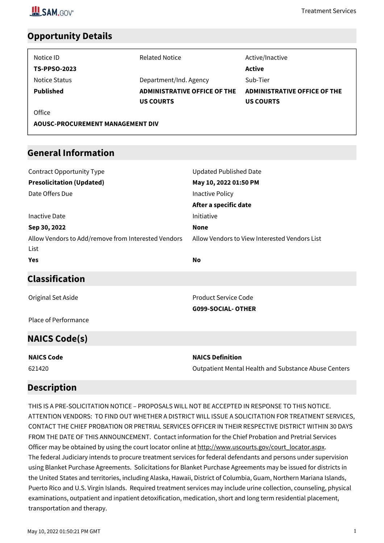

### **Opportunity Details**

| Notice ID                               | <b>Related Notice</b>        | Active/Inactive                     |  |
|-----------------------------------------|------------------------------|-------------------------------------|--|
| <b>TS-PPSO-2023</b>                     |                              | Active                              |  |
| Notice Status                           | Department/Ind. Agency       | Sub-Tier                            |  |
| <b>Published</b>                        | ADMINISTRATIVE OFFICE OF THE | <b>ADMINISTRATIVE OFFICE OF THE</b> |  |
|                                         | <b>US COURTS</b>             | <b>US COURTS</b>                    |  |
| Office                                  |                              |                                     |  |
| <b>AOUSC-PROCUREMENT MANAGEMENT DIV</b> |                              |                                     |  |

### **General Information**

| <b>Contract Opportunity Type</b>                    | <b>Updated Published Date</b>                        |
|-----------------------------------------------------|------------------------------------------------------|
| <b>Presolicitation (Updated)</b>                    | May 10, 2022 01:50 PM                                |
| Date Offers Due                                     | Inactive Policy                                      |
|                                                     | After a specific date                                |
| <b>Inactive Date</b>                                | Initiative                                           |
| Sep 30, 2022                                        | <b>None</b>                                          |
| Allow Vendors to Add/remove from Interested Vendors | Allow Vendors to View Interested Vendors List        |
| List                                                |                                                      |
| <b>Yes</b>                                          | <b>No</b>                                            |
| <b>Classification</b>                               |                                                      |
| Original Set Aside                                  | <b>Product Service Code</b>                          |
|                                                     | <b>G099-SOCIAL-OTHER</b>                             |
| Place of Performance                                |                                                      |
| <b>NAICS Code(s)</b>                                |                                                      |
| <b>NAICS Code</b>                                   | <b>NAICS Definition</b>                              |
| 621420                                              | Outpatient Mental Health and Substance Abuse Centers |

### **Description**

THIS IS A PRE-SOLICITATION NOTICE – PROPOSALS WILL NOT BE ACCEPTED IN RESPONSE TO THIS NOTICE. ATTENTION VENDORS: TO FIND OUT WHETHER A DISTRICT WILL ISSUE A SOLICITATION FOR TREATMENT SERVICES, CONTACT THE CHIEF PROBATION OR PRETRIAL SERVICES OFFICER IN THEIR RESPECTIVE DISTRICT WITHIN 30 DAYS FROM THE DATE OF THIS ANNOUNCEMENT. Contact information for the Chief Probation and Pretrial Services Officer may be obtained by using the court locator online at http://www.uscourts.gov/court\_locator.aspx. The federal Judiciary intends to procure treatment services for federal defendants and persons under supervision using Blanket Purchase Agreements. Solicitations for Blanket Purchase Agreements may be issued for districts in the United States and territories, including Alaska, Hawaii, District of Columbia, Guam, Northern Mariana Islands, Puerto Rico and U.S. Virgin Islands. Required treatment services may include urine collection, counseling, physical examinations, outpatient and inpatient detoxification, medication, short and long term residential placement, transportation and therapy.